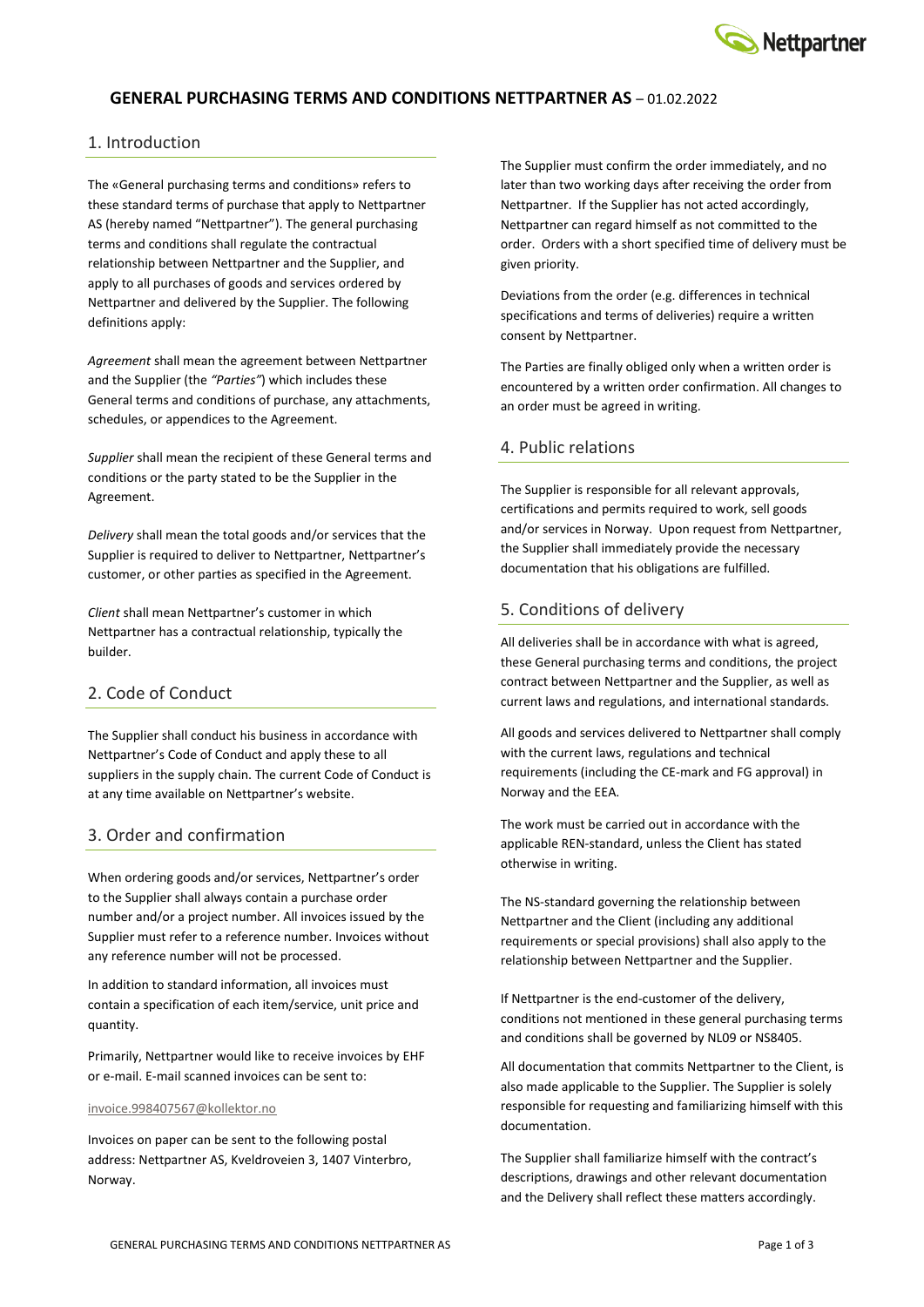

## **GENERAL PURCHASING TERMS AND CONDITIONS NETTPARTNER AS** – 01.02.2022

#### 1. Introduction

The «General purchasing terms and conditions» refers to these standard terms of purchase that apply to Nettpartner AS (hereby named "Nettpartner"). The general purchasing terms and conditions shall regulate the contractual relationship between Nettpartner and the Supplier, and apply to all purchases of goods and services ordered by Nettpartner and delivered by the Supplier. The following definitions apply:

*Agreement* shall mean the agreement between Nettpartner and the Supplier (the *"Parties"*) which includes these General terms and conditions of purchase, any attachments, schedules, or appendices to the Agreement.

*Supplier* shall mean the recipient of these General terms and conditions or the party stated to be the Supplier in the Agreement.

*Delivery* shall mean the total goods and/or services that the Supplier is required to deliver to Nettpartner, Nettpartner's customer, or other parties as specified in the Agreement.

*Client* shall mean Nettpartner's customer in which Nettpartner has a contractual relationship, typically the builder.

## 2. Code of Conduct

The Supplier shall conduct his business in accordance with Nettpartner's Code of Conduct and apply these to all suppliers in the supply chain. The current Code of Conduct is at any time available on Nettpartner's website.

#### 3. Order and confirmation

When ordering goods and/or services, Nettpartner's order to the Supplier shall always contain a purchase order number and/or a project number. All invoices issued by the Supplier must refer to a reference number. Invoices without any reference number will not be processed.

In addition to standard information, all invoices must contain a specification of each item/service, unit price and quantity.

Primarily, Nettpartner would like to receive invoices by EHF or e-mail. E-mail scanned invoices can be sent to:

#### [invoice.998407567@kollektor.no](mailto:invoice.998407567@kollektor.no)

Invoices on paper can be sent to the following postal address: Nettpartner AS, Kveldroveien 3, 1407 Vinterbro, Norway.

The Supplier must confirm the order immediately, and no later than two working days after receiving the order from Nettpartner. If the Supplier has not acted accordingly, Nettpartner can regard himself as not committed to the order. Orders with a short specified time of delivery must be given priority.

Deviations from the order (e.g. differences in technical specifications and terms of deliveries) require a written consent by Nettpartner.

The Parties are finally obliged only when a written order is encountered by a written order confirmation. All changes to an order must be agreed in writing.

#### 4. Public relations

The Supplier is responsible for all relevant approvals, certifications and permits required to work, sell goods and/or services in Norway. Upon request from Nettpartner, the Supplier shall immediately provide the necessary documentation that his obligations are fulfilled.

#### 5. Conditions of delivery

All deliveries shall be in accordance with what is agreed, these General purchasing terms and conditions, the project contract between Nettpartner and the Supplier, as well as current laws and regulations, and international standards.

All goods and services delivered to Nettpartner shall comply with the current laws, regulations and technical requirements (including the CE-mark and FG approval) in Norway and the EEA.

The work must be carried out in accordance with the applicable REN-standard, unless the Client has stated otherwise in writing.

The NS-standard governing the relationship between Nettpartner and the Client (including any additional requirements or special provisions) shall also apply to the relationship between Nettpartner and the Supplier.

If Nettpartner is the end-customer of the delivery, conditions not mentioned in these general purchasing terms and conditions shall be governed by NL09 or NS8405.

All documentation that commits Nettpartner to the Client, is also made applicable to the Supplier. The Supplier is solely responsible for requesting and familiarizing himself with this documentation.

The Supplier shall familiarize himself with the contract's descriptions, drawings and other relevant documentation and the Delivery shall reflect these matters accordingly.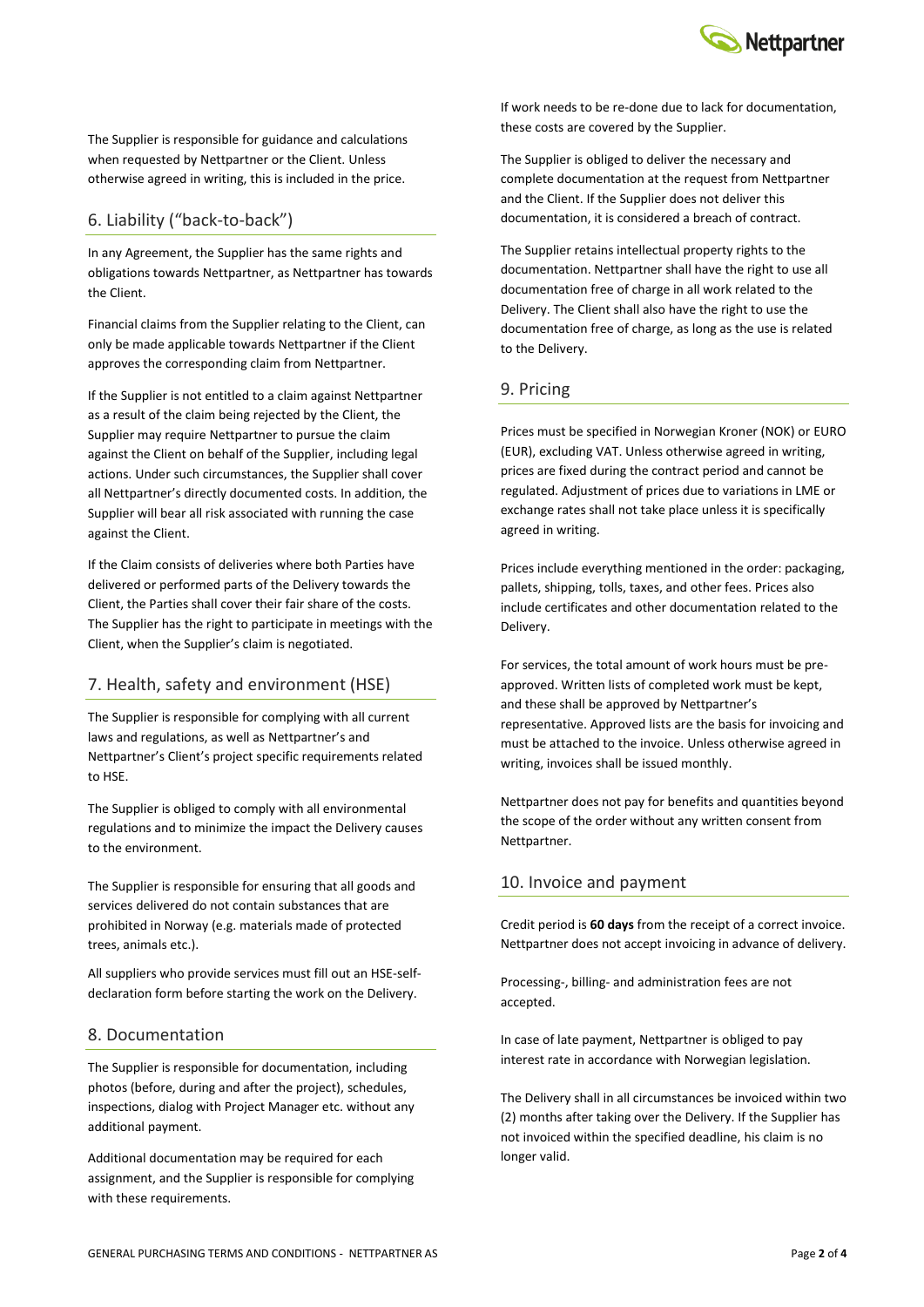

The Supplier is responsible for guidance and calculations when requested by Nettpartner or the Client. Unless otherwise agreed in writing, this is included in the price.

## 6. Liability ("back-to-back")

In any Agreement, the Supplier has the same rights and obligations towards Nettpartner, as Nettpartner has towards the Client.

Financial claims from the Supplier relating to the Client, can only be made applicable towards Nettpartner if the Client approves the corresponding claim from Nettpartner.

If the Supplier is not entitled to a claim against Nettpartner as a result of the claim being rejected by the Client, the Supplier may require Nettpartner to pursue the claim against the Client on behalf of the Supplier, including legal actions. Under such circumstances, the Supplier shall cover all Nettpartner's directly documented costs. In addition, the Supplier will bear all risk associated with running the case against the Client.

If the Claim consists of deliveries where both Parties have delivered or performed parts of the Delivery towards the Client, the Parties shall cover their fair share of the costs. The Supplier has the right to participate in meetings with the Client, when the Supplier's claim is negotiated.

# 7. Health, safety and environment (HSE)

The Supplier is responsible for complying with all current laws and regulations, as well as Nettpartner's and Nettpartner's Client's project specific requirements related to HSE.

The Supplier is obliged to comply with all environmental regulations and to minimize the impact the Delivery causes to the environment.

The Supplier is responsible for ensuring that all goods and services delivered do not contain substances that are prohibited in Norway (e.g. materials made of protected trees, animals etc.).

All suppliers who provide services must fill out an HSE-selfdeclaration form before starting the work on the Delivery.

### 8. Documentation

The Supplier is responsible for documentation, including photos (before, during and after the project), schedules, inspections, dialog with Project Manager etc. without any additional payment.

Additional documentation may be required for each assignment, and the Supplier is responsible for complying with these requirements.

 $\lim_{n \to \infty}$ If work needs to be re-done due to lack for documentation,<br>these sectorals concerned but be famalised these costs are covered by the Supplier.

The Supplier is obliged to deliver the necessary and complete documentation at the request from Nettpartner and the Client. If the Supplier does not deliver this documentation, it is considered a breach of contract.

The Supplier retains intellectual property rights to the documentation. Nettpartner shall have the right to use all documentation free of charge in all work related to the Delivery. The Client shall also have the right to use the documentation free of charge, as long as the use is related to the Delivery.

## 9. Pricing

Prices must be specified in Norwegian Kroner (NOK) or EURO (EUR), excluding VAT. Unless otherwise agreed in writing, prices are fixed during the contract period and cannot be regulated. Adjustment of prices due to variations in LME or exchange rates shall not take place unless it is specifically agreed in writing.

Prices include everything mentioned in the order: packaging, pallets, shipping, tolls, taxes, and other fees. Prices also include certificates and other documentation related to the Delivery.

For services, the total amount of work hours must be preapproved. Written lists of completed work must be kept, and these shall be approved by Nettpartner's representative. Approved lists are the basis for invoicing and must be attached to the invoice. Unless otherwise agreed in writing, invoices shall be issued monthly.

Nettpartner does not pay for benefits and quantities beyond the scope of the order without any written consent from Nettpartner.

## 10. Invoice and payment

Credit period is **60 days** from the receipt of a correct invoice. Nettpartner does not accept invoicing in advance of delivery.

Processing-, billing- and administration fees are not accepted.

In case of late payment, Nettpartner is obliged to pay interest rate in accordance with Norwegian legislation.

The Delivery shall in all circumstances be invoiced within two (2) months after taking over the Delivery. If the Supplier has not invoiced within the specified deadline, his claim is no longer valid.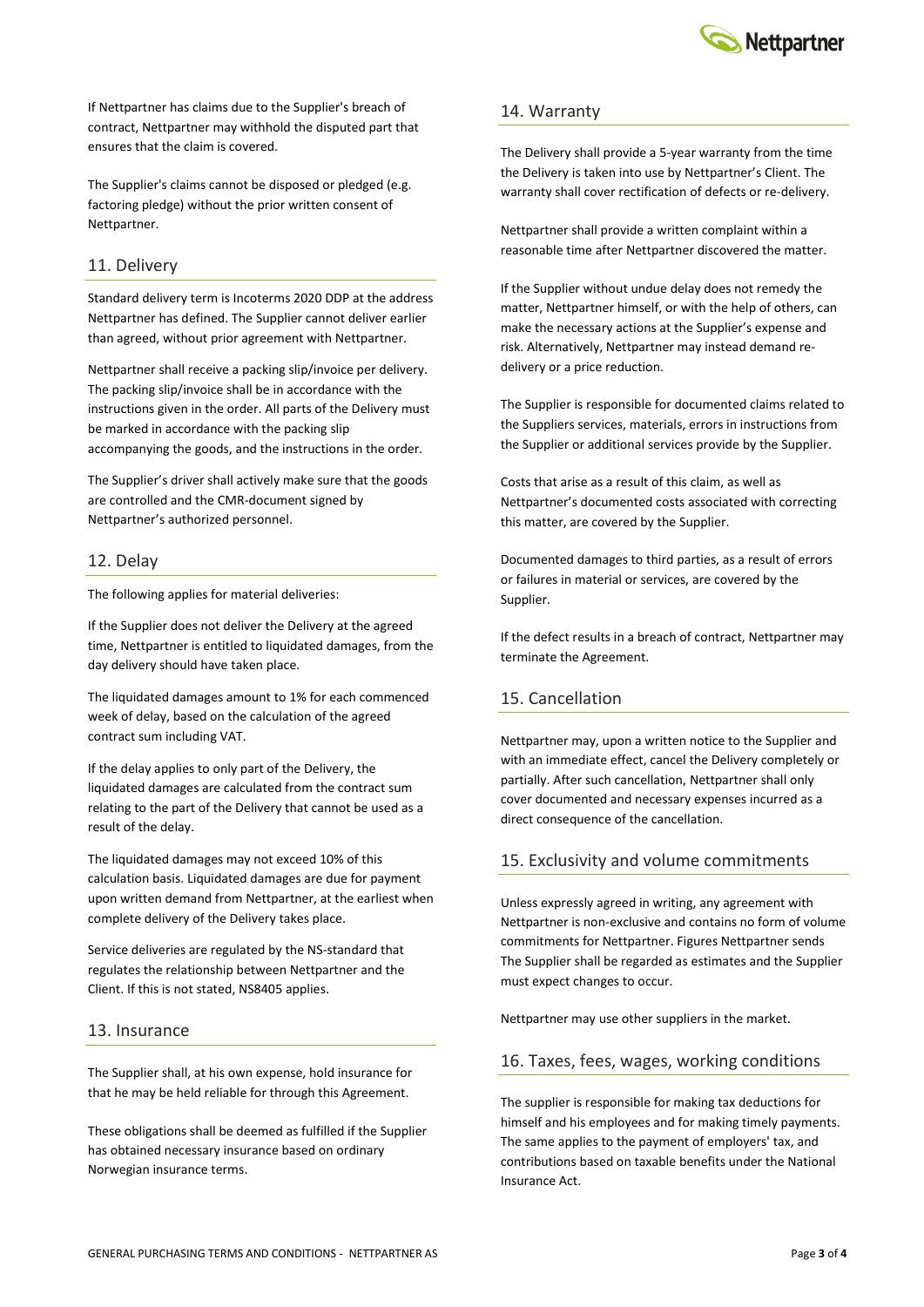

If Nettpartner has claims due to the Supplier's breach of contract, Nettpartner may withhold the disputed part that ensures that the claim is covered.

The Supplier's claims cannot be disposed or pledged (e.g. factoring pledge) without the prior written consent of Nettpartner.

### 11. Delivery

Standard delivery term is Incoterms 2020 DDP at the address Nettpartner has defined. The Supplier cannot deliver earlier than agreed, without prior agreement with Nettpartner.

Nettpartner shall receive a packing slip/invoice per delivery. The packing slip/invoice shall be in accordance with the instructions given in the order. All parts of the Delivery must be marked in accordance with the packing slip accompanying the goods, and the instructions in the order.

The Supplier's driver shall actively make sure that the goods are controlled and the CMR-document signed by Nettpartner's authorized personnel.

## 12. Delay

The following applies for material deliveries:

If the Supplier does not deliver the Delivery at the agreed time, Nettpartner is entitled to liquidated damages, from the day delivery should have taken place.

The liquidated damages amount to 1% for each commenced week of delay, based on the calculation of the agreed contract sum including VAT.

If the delay applies to only part of the Delivery, the liquidated damages are calculated from the contract sum relating to the part of the Delivery that cannot be used as a result of the delay.

The liquidated damages may not exceed 10% of this calculation basis. Liquidated damages are due for payment upon written demand from Nettpartner, at the earliest when complete delivery of the Delivery takes place.

Service deliveries are regulated by the NS-standard that regulates the relationship between Nettpartner and the Client. If this is not stated, NS8405 applies.

### 13. Insurance

The Supplier shall, at his own expense, hold insurance for that he may be held reliable for through this Agreement.

These obligations shall be deemed as fulfilled if the Supplier has obtained necessary insurance based on ordinary Norwegian insurance terms.

#### 14. Warranty

The Delivery shall provide a 5-year warranty from the time the Delivery is taken into use by Nettpartner's Client. The warranty shall cover rectification of defects or re-delivery.

Nettpartner shall provide a written complaint within a reasonable time after Nettpartner discovered the matter.

If the Supplier without undue delay does not remedy the matter, Nettpartner himself, or with the help of others, can make the necessary actions at the Supplier's expense and risk. Alternatively, Nettpartner may instead demand redelivery or a price reduction.

The Supplier is responsible for documented claims related to the Suppliers services, materials, errors in instructions from the Supplier or additional services provide by the Supplier.

Costs that arise as a result of this claim, as well as Nettpartner's documented costs associated with correcting this matter, are covered by the Supplier.

Documented damages to third parties, as a result of errors or failures in material or services, are covered by the Supplier.

If the defect results in a breach of contract, Nettpartner may terminate the Agreement.

## 15. Cancellation

Nettpartner may, upon a written notice to the Supplier and with an immediate effect, cancel the Delivery completely or partially. After such cancellation, Nettpartner shall only cover documented and necessary expenses incurred as a direct consequence of the cancellation.

### 15. Exclusivity and volume commitments

Unless expressly agreed in writing, any agreement with Nettpartner is non-exclusive and contains no form of volume commitments for Nettpartner. Figures Nettpartner sends The Supplier shall be regarded as estimates and the Supplier must expect changes to occur.

Nettpartner may use other suppliers in the market.

#### 16. Taxes, fees, wages, working conditions

The supplier is responsible for making tax deductions for himself and his employees and for making timely payments. The same applies to the payment of employers' tax, and contributions based on taxable benefits under the National Insurance Act.